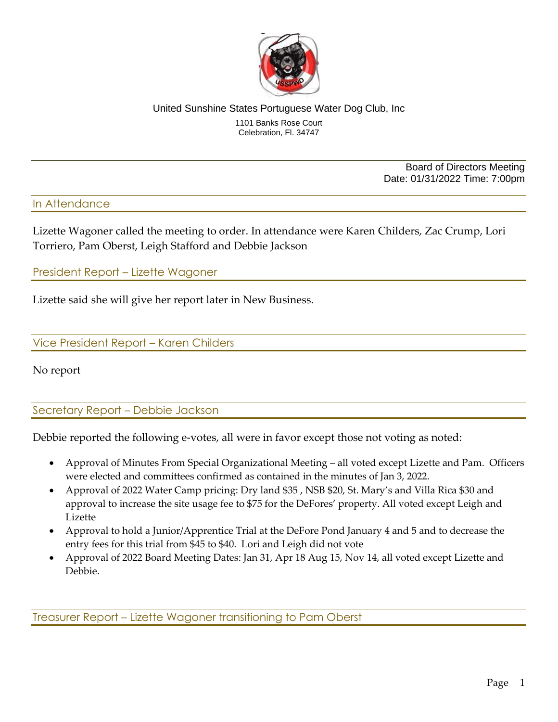

#### United Sunshine States Portuguese Water Dog Club, Inc 1101 Banks Rose Court Celebration, Fl. 34747

Board of Directors Meeting Date: 01/31/2022 Time: 7:00pm

## In Attendance

Lizette Wagoner called the meeting to order. In attendance were Karen Childers, Zac Crump, Lori Torriero, Pam Oberst, Leigh Stafford and Debbie Jackson

President Report – Lizette Wagoner

Lizette said she will give her report later in New Business.

Vice President Report – Karen Childers

No report

Secretary Report – Debbie Jackson

Debbie reported the following e-votes, all were in favor except those not voting as noted:

- Approval of Minutes From Special Organizational Meeting all voted except Lizette and Pam. Officers were elected and committees confirmed as contained in the minutes of Jan 3, 2022.
- Approval of 2022 Water Camp pricing: Dry land \$35 , NSB \$20, St. Mary's and Villa Rica \$30 and approval to increase the site usage fee to \$75 for the DeFores' property. All voted except Leigh and Lizette
- Approval to hold a Junior/Apprentice Trial at the DeFore Pond January 4 and 5 and to decrease the entry fees for this trial from \$45 to \$40. Lori and Leigh did not vote
- Approval of 2022 Board Meeting Dates: Jan 31, Apr 18 Aug 15, Nov 14, all voted except Lizette and Debbie.

Treasurer Report – Lizette Wagoner transitioning to Pam Oberst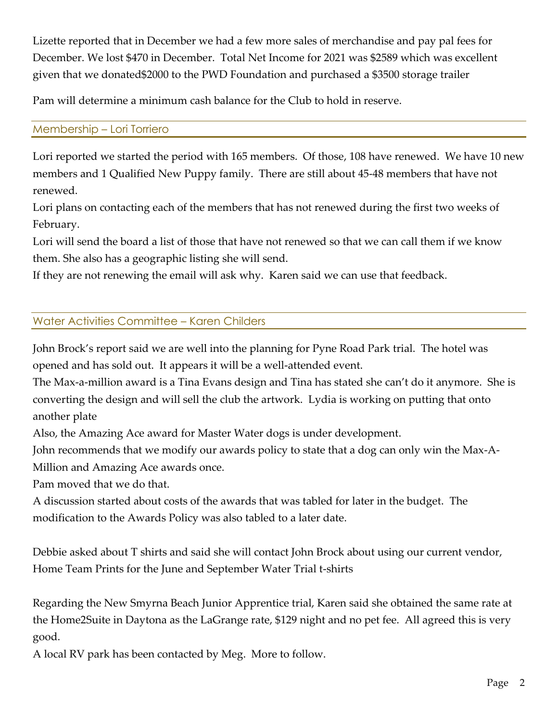Lizette reported that in December we had a few more sales of merchandise and pay pal fees for December. We lost \$470 in December. Total Net Income for 2021 was \$2589 which was excellent given that we donated\$2000 to the PWD Foundation and purchased a \$3500 storage trailer

Pam will determine a minimum cash balance for the Club to hold in reserve.

# Membership – Lori Torriero

Lori reported we started the period with 165 members. Of those, 108 have renewed. We have 10 new members and 1 Qualified New Puppy family. There are still about 45-48 members that have not renewed.

Lori plans on contacting each of the members that has not renewed during the first two weeks of February.

Lori will send the board a list of those that have not renewed so that we can call them if we know them. She also has a geographic listing she will send.

If they are not renewing the email will ask why. Karen said we can use that feedback.

# Water Activities Committee – Karen Childers

John Brock's report said we are well into the planning for Pyne Road Park trial. The hotel was opened and has sold out. It appears it will be a well-attended event.

The Max-a-million award is a Tina Evans design and Tina has stated she can't do it anymore. She is converting the design and will sell the club the artwork. Lydia is working on putting that onto another plate

Also, the Amazing Ace award for Master Water dogs is under development.

John recommends that we modify our awards policy to state that a dog can only win the Max-A-Million and Amazing Ace awards once.

Pam moved that we do that.

A discussion started about costs of the awards that was tabled for later in the budget. The modification to the Awards Policy was also tabled to a later date.

Debbie asked about T shirts and said she will contact John Brock about using our current vendor, Home Team Prints for the June and September Water Trial t-shirts

Regarding the New Smyrna Beach Junior Apprentice trial, Karen said she obtained the same rate at the Home2Suite in Daytona as the LaGrange rate, \$129 night and no pet fee. All agreed this is very good.

A local RV park has been contacted by Meg. More to follow.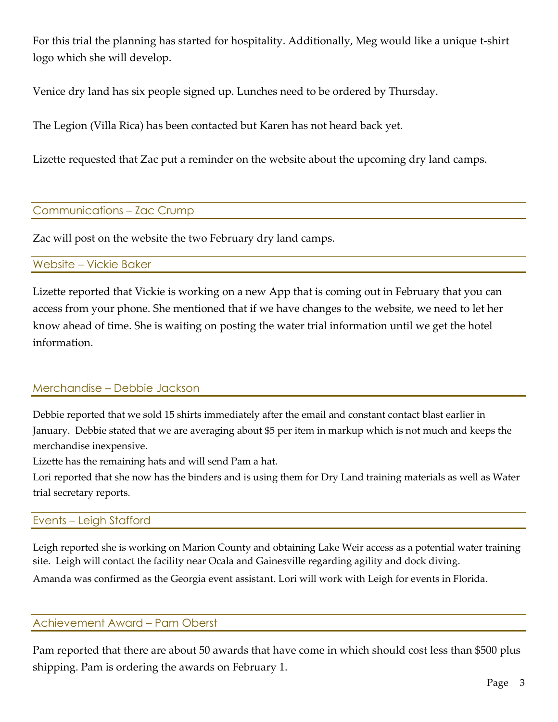For this trial the planning has started for hospitality. Additionally, Meg would like a unique t-shirt logo which she will develop.

Venice dry land has six people signed up. Lunches need to be ordered by Thursday.

The Legion (Villa Rica) has been contacted but Karen has not heard back yet.

Lizette requested that Zac put a reminder on the website about the upcoming dry land camps.

## Communications – Zac Crump

Zac will post on the website the two February dry land camps.

### Website – Vickie Baker

Lizette reported that Vickie is working on a new App that is coming out in February that you can access from your phone. She mentioned that if we have changes to the website, we need to let her know ahead of time. She is waiting on posting the water trial information until we get the hotel information.

## Merchandise – Debbie Jackson

Debbie reported that we sold 15 shirts immediately after the email and constant contact blast earlier in January. Debbie stated that we are averaging about \$5 per item in markup which is not much and keeps the merchandise inexpensive.

Lizette has the remaining hats and will send Pam a hat.

Lori reported that she now has the binders and is using them for Dry Land training materials as well as Water trial secretary reports.

## Events – Leigh Stafford

Leigh reported she is working on Marion County and obtaining Lake Weir access as a potential water training site. Leigh will contact the facility near Ocala and Gainesville regarding agility and dock diving.

Amanda was confirmed as the Georgia event assistant. Lori will work with Leigh for events in Florida.

### Achievement Award – Pam Oberst

Pam reported that there are about 50 awards that have come in which should cost less than \$500 plus shipping. Pam is ordering the awards on February 1.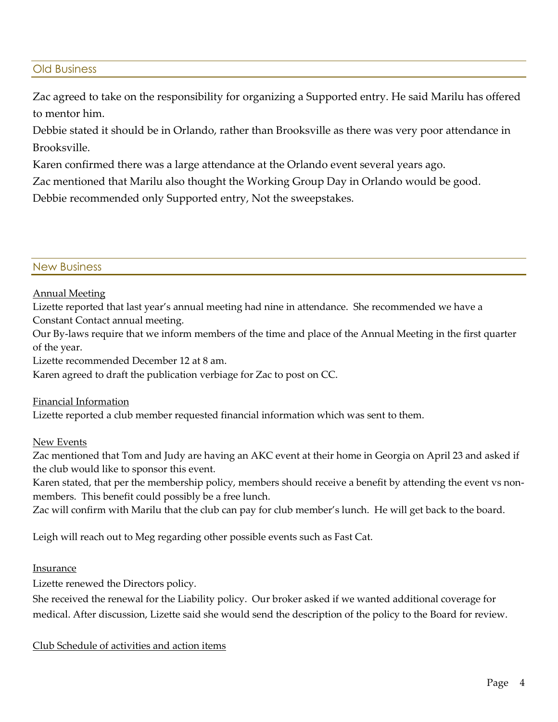### Old Business

Zac agreed to take on the responsibility for organizing a Supported entry. He said Marilu has offered to mentor him.

Debbie stated it should be in Orlando, rather than Brooksville as there was very poor attendance in Brooksville.

Karen confirmed there was a large attendance at the Orlando event several years ago.

Zac mentioned that Marilu also thought the Working Group Day in Orlando would be good.

Debbie recommended only Supported entry, Not the sweepstakes.

#### New Business

#### Annual Meeting

Lizette reported that last year's annual meeting had nine in attendance. She recommended we have a Constant Contact annual meeting.

Our By-laws require that we inform members of the time and place of the Annual Meeting in the first quarter of the year.

Lizette recommended December 12 at 8 am.

Karen agreed to draft the publication verbiage for Zac to post on CC.

#### Financial Information

Lizette reported a club member requested financial information which was sent to them.

#### New Events

Zac mentioned that Tom and Judy are having an AKC event at their home in Georgia on April 23 and asked if the club would like to sponsor this event.

Karen stated, that per the membership policy, members should receive a benefit by attending the event vs nonmembers. This benefit could possibly be a free lunch.

Zac will confirm with Marilu that the club can pay for club member's lunch. He will get back to the board.

Leigh will reach out to Meg regarding other possible events such as Fast Cat.

#### Insurance

Lizette renewed the Directors policy.

She received the renewal for the Liability policy. Our broker asked if we wanted additional coverage for medical. After discussion, Lizette said she would send the description of the policy to the Board for review.

Club Schedule of activities and action items